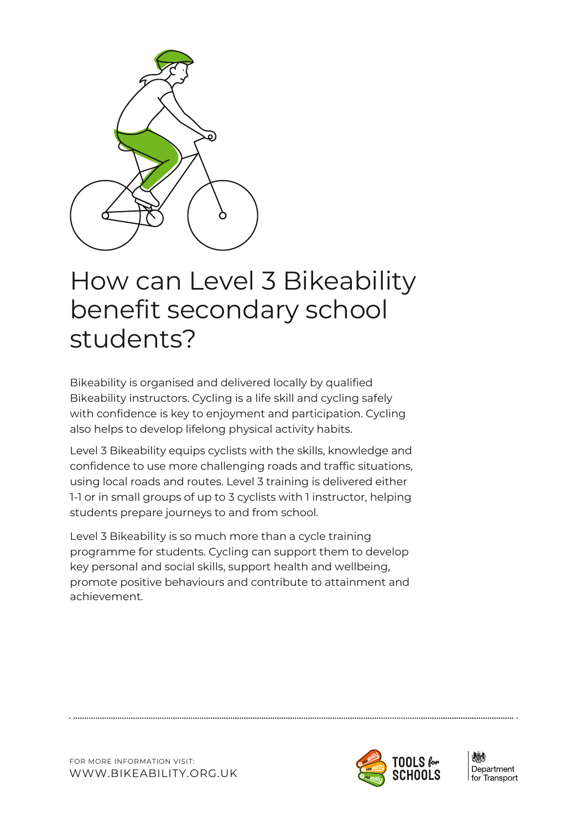

# How can Level 3 Bikeability benefit secondary school students?

Bikeability is organised and delivered locally by qualified Bikeability instructors. Cycling is a life skill and cycling safely with confidence is key to enjoyment and participation. Cycling also helps to develop lifelong physical activity habits.

Level 3 Bikeability equips cyclists with the skills, knowledge and confidence to use more challenging roads and traffic situations, using local roads and routes. Level 3 training is delivered either 1-1 or in small groups of up to 3 cyclists with 1 instructor, helping students prepare journeys to and from school.

Level 3 Bikeability is so much more than a cycle training programme for students. Cycling can support them to develop key personal and social skills, support health and wellbeing, promote positive behaviours and contribute to attainment and achievement.



Department for Transport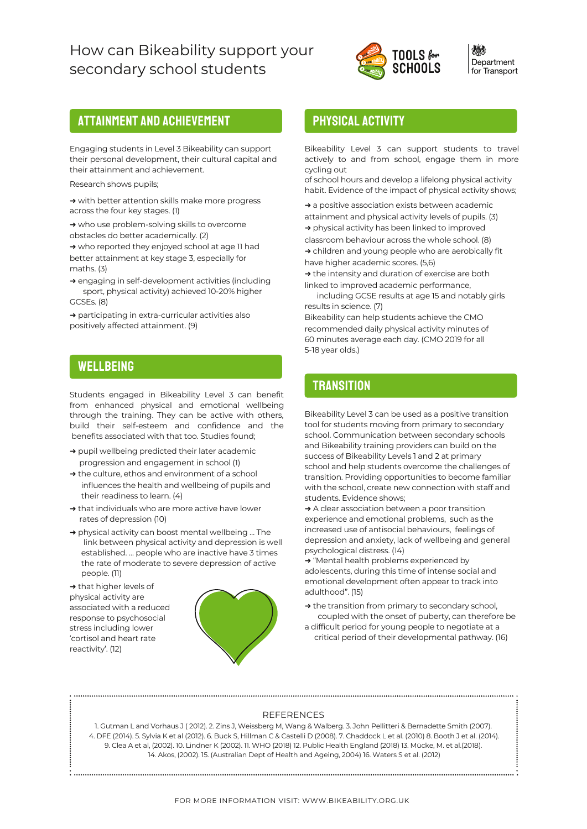## How can Bikeability support your secondary school students



Department for Transport

## Attainment and achievement

Engaging students in Level 3 Bikeability can support their personal development, their cultural capital and their attainment and achievement.

Research shows pupils;

→ with better attention skills make more progress across the four key stages. (1)

→ who use problem-solving skills to overcome obstacles do better academically. (2)

→ who reported they enjoyed school at age 11 had better attainment at key stage 3, especially for maths. (3)

→ engaging in self-development activities (including sport, physical activity) achieved 10-20% higher GCSEs. (8)

→ participating in extra-curricular activities also positively affected attainment. (9)

## **WELLBEING**

Students engaged in Bikeability Level 3 can benefit from enhanced physical and emotional wellbeing through the training. They can be active with others, build their self-esteem and confidence and the benefits associated with that too. Studies found;

- → pupil wellbeing predicted their later academic progression and engagement in school (1)
- $\rightarrow$  the culture, ethos and environment of a school influences the health and wellbeing of pupils and their readiness to learn. (4)
- → that individuals who are more active have lower rates of depression (10)
- → physical activity can boost mental wellbeing ... The link between physical activity and depression is well established. … people who are inactive have 3 times the rate of moderate to severe depression of active people. (11)

→ that higher levels of physical activity are associated with a reduced response to psychosocial stress including lower 'cortisol and heart rate reactivity'. (12)



## Physical Activity

Bikeability Level 3 can support students to travel actively to and from school, engage them in more cycling out

of school hours and develop a lifelong physical activity habit. Evidence of the impact of physical activity shows;

→ a positive association exists between academic attainment and physical activity levels of pupils. (3)  $\rightarrow$  physical activity has been linked to improved classroom behaviour across the whole school. (8) → children and young people who are aerobically fit

have higher academic scores. (5,6)

→ the intensity and duration of exercise are both linked to improved academic performance,

including GCSE results at age 15 and notably girls results in science. (7)

Bikeability can help students achieve the CMO recommended daily physical activity minutes of 60 minutes average each day. (CMO 2019 for all 5-18 year olds.)

## **TRANSITION**

Bikeability Level 3 can be used as a positive transition tool for students moving from primary to secondary school. Communication between secondary schools and Bikeability training providers can build on the success of Bikeability Levels 1 and 2 at primary school and help students overcome the challenges of transition. Providing opportunities to become familiar with the school, create new connection with staff and students. Evidence shows;

→ A clear association between a poor transition experience and emotional problems, such as the increased use of antisocial behaviours, feelings of depression and anxiety, lack of wellbeing and general psychological distress. (14)

→ "Mental health problems experienced by adolescents, during this time of intense social and emotional development often appear to track into adulthood". (15)

→ the transition from primary to secondary school, coupled with the onset of puberty, can therefore be

a difficult period for young people to negotiate at a critical period of their developmental pathway. (16)

#### REFERENCES

1. Gutman L and Vorhaus J ( 2012). 2. Zins J, Weissberg M, Wang & Walberg. 3. John Pellitteri & Bernadette Smith (2007). 4. DFE (2014). 5. Sylvia K et al (2012). 6. Buck S, Hillman C & Castelli D (2008). 7. Chaddock L et al. (2010) 8. Booth J et al. (2014). 9. Clea A et al, (2002). 10. Lindner K (2002). 11. WHO (2018) 12. Public Health England (2018) 13. Mücke, M. et al.(2018). 14. Akos, (2002). 15. (Australian Dept of Health and Ageing, 2004) 16. Waters S et al. (2012)